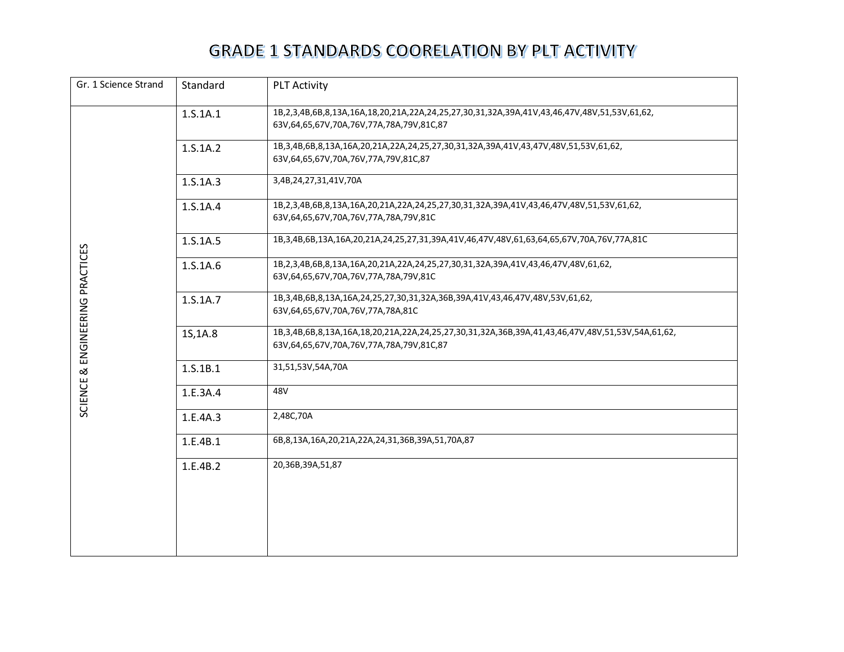| Gr. 1 Science Strand<br>Standard<br><b>PLT Activity</b> |          |                                                                                                                                                        |  |
|---------------------------------------------------------|----------|--------------------------------------------------------------------------------------------------------------------------------------------------------|--|
|                                                         | 1.S.1A.1 | 1B,2,3,4B,6B,8,13A,16A,18,20,21A,22A,24,25,27,30,31,32A,39A,41V,43,46,47V,48V,51,53V,61,62,<br>63V,64,65,67V,70A,76V,77A,78A,79V,81C,87                |  |
|                                                         | 1.S.1A.2 | 1B,3,4B,6B,8,13A,16A,20,21A,22A,24,25,27,30,31,32A,39A,41V,43,47V,48V,51,53V,61,62,<br>63V, 64, 65, 67V, 70A, 76V, 77A, 79V, 81C, 87                   |  |
|                                                         | 1.S.1A.3 | 3,4B,24,27,31,41V,70A                                                                                                                                  |  |
|                                                         | 1.S.1A.4 | 1B,2,3,4B,6B,8,13A,16A,20,21A,22A,24,25,27,30,31,32A,39A,41V,43,46,47V,48V,51,53V,61,62,<br>63V, 64, 65, 67V, 70A, 76V, 77A, 78A, 79V, 81C             |  |
|                                                         | 1.S.1A.5 | 1B,3,4B,6B,13A,16A,20,21A,24,25,27,31,39A,41V,46,47V,48V,61,63,64,65,67V,70A,76V,77A,81C                                                               |  |
| ENGINEERING PRACTICES                                   | 1.S.1A.6 | 1B,2,3,4B,6B,8,13A,16A,20,21A,22A,24,25,27,30,31,32A,39A,41V,43,46,47V,48V,61,62,<br>63V,64,65,67V,70A,76V,77A,78A,79V,81C                             |  |
|                                                         | 1.S.1A.7 | 1B,3,4B,6B,8,13A,16A,24,25,27,30,31,32A,36B,39A,41V,43,46,47V,48V,53V,61,62,<br>63V, 64, 65, 67V, 70A, 76V, 77A, 78A, 81C                              |  |
|                                                         | 1S, 1A.8 | 1B,3,4B,6B,8,13A,16A,18,20,21A,22A,24,25,27,30,31,32A,36B,39A,41,43,46,47V,48V,51,53V,54A,61,62,<br>63V, 64, 65, 67V, 70A, 76V, 77A, 78A, 79V, 81C, 87 |  |
| $\propto$                                               | 1.S.1B.1 | 31,51,53V,54A,70A                                                                                                                                      |  |
| SCIENCE                                                 | 1.E.3A.4 | 48V                                                                                                                                                    |  |
|                                                         | 1.E.4A.3 | 2,48C,70A                                                                                                                                              |  |
|                                                         | 1.E.4B.1 | 6B, 8, 13A, 16A, 20, 21A, 22A, 24, 31, 36B, 39A, 51, 70A, 87                                                                                           |  |
|                                                         | 1.E.4B.2 | 20,36B,39A,51,87                                                                                                                                       |  |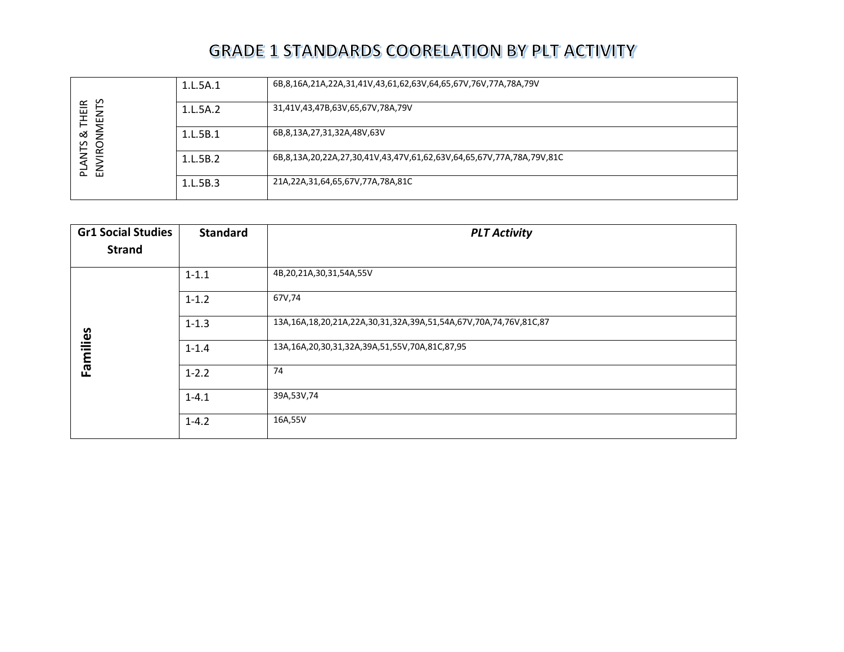| n<br>≃<br>三王<br>ΛEΝ.<br>ಹ<br>⇁<br><b>LANTS</b><br>O<br>ENVIR<br>$\sim$ | 1.L.5A.1 | 6B,8,16A,21A,22A,31,41V,43,61,62,63V,64,65,67V,76V,77A,78A,79V       |
|------------------------------------------------------------------------|----------|----------------------------------------------------------------------|
|                                                                        | 1.L.5A.2 | 31,41V,43,47B,63V,65,67V,78A,79V                                     |
|                                                                        | 1.L.5B.1 | 6B,8,13A,27,31,32A,48V,63V                                           |
|                                                                        | 1.L.5B.2 | 6B,8,13A,20,22A,27,30,41V,43,47V,61,62,63V,64,65,67V,77A,78A,79V,81C |
|                                                                        | 1.L.5B.3 | 21A,22A,31,64,65,67V,77A,78A,81C                                     |

| <b>Gr1 Social Studies</b> | <b>Standard</b> | <b>PLT Activity</b>                                              |
|---------------------------|-----------------|------------------------------------------------------------------|
| <b>Strand</b>             |                 |                                                                  |
|                           | $1 - 1.1$       | 4B,20,21A,30,31,54A,55V                                          |
|                           | $1 - 1.2$       | 67V,74                                                           |
|                           | $1 - 1.3$       | 13A,16A,18,20,21A,22A,30,31,32A,39A,51,54A,67V,70A,74,76V,81C,87 |
| Families                  | $1 - 1.4$       | 13A,16A,20,30,31,32A,39A,51,55V,70A,81C,87,95                    |
|                           | $1 - 2.2$       | 74                                                               |
|                           | $1 - 4.1$       | 39A,53V,74                                                       |
|                           | $1 - 4.2$       | 16A,55V                                                          |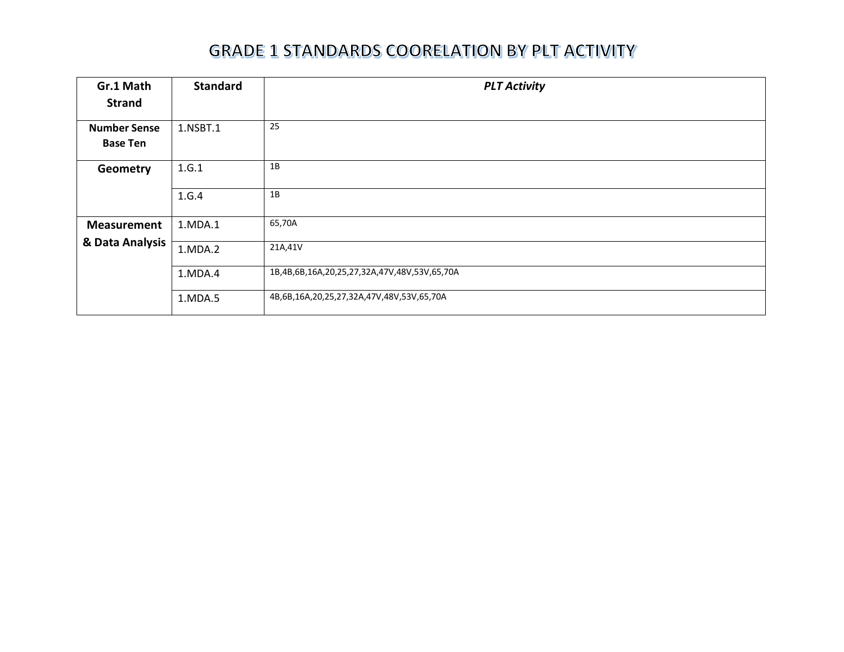| Gr.1 Math<br><b>Strand</b>                       | <b>Standard</b> | <b>PLT Activity</b>                          |
|--------------------------------------------------|-----------------|----------------------------------------------|
| <b>Number Sense</b><br><b>Base Ten</b>           | 1.NSBT.1        | 25                                           |
| 1.G.1<br>Geometry                                |                 | 1B                                           |
|                                                  | 1.G.4           | 1B                                           |
| <b>Measurement</b>                               | 1.MDA.1         | 65,70A                                       |
| & Data Analysis<br>21A,41V<br>1.MDA.2<br>1.MDA.4 |                 |                                              |
|                                                  |                 | 1B,4B,6B,16A,20,25,27,32A,47V,48V,53V,65,70A |
|                                                  | 1.MDA.5         | 4B,6B,16A,20,25,27,32A,47V,48V,53V,65,70A    |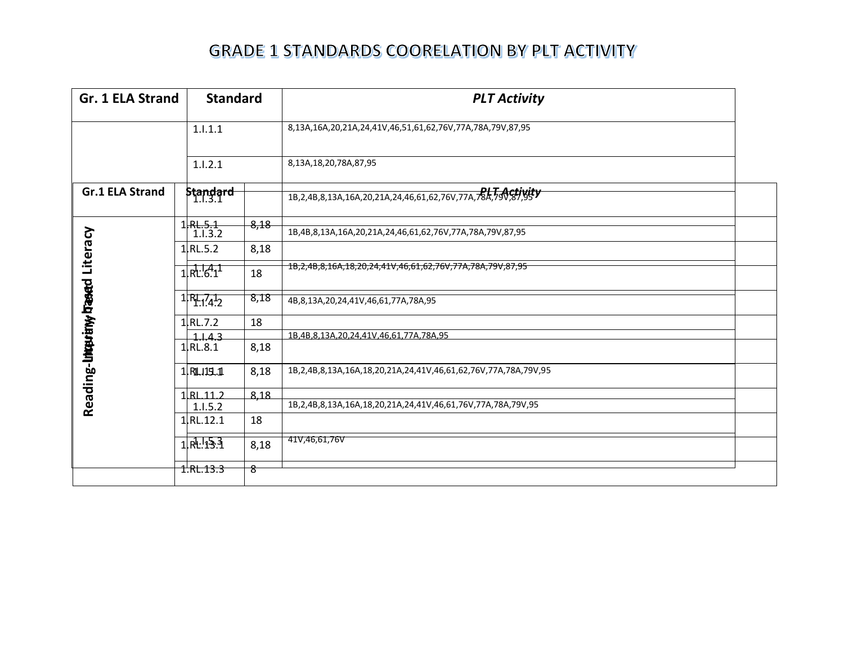| Gr. 1 ELA Strand                           | <b>Standard</b>              |      | <b>PLT Activity</b>                                                              |  |
|--------------------------------------------|------------------------------|------|----------------------------------------------------------------------------------|--|
|                                            | 1.1.1.1                      |      | 8,13A,16A,20,21A,24,41V,46,51,61,62,76V,77A,78A,79V,87,95                        |  |
|                                            | 1.1.2.1                      |      | 8,13A,18,20,78A,87,95                                                            |  |
| <b>Gr.1 ELA Strand</b>                     | <b>Standard</b><br>  1.l.3.1 |      | 1B,2,4B,8,13A,16A,20,21A,24,46,61,62,76V,77A, RL, AGHygity                       |  |
|                                            | $1$ RL.5.1<br>1.1.3.2        | 8,18 | 1B,4B,8,13A,16A,20,21A,24,46,61,62,76V,77A,78A,79V,87,95                         |  |
| Reading- <b>Litiquirity Dased</b> Literacy | 1.RL.5.2                     | 8,18 |                                                                                  |  |
|                                            | 1.611                        | 18   | 18,2,48,8,16A,18,20,24,41V,46,61,62,76V,77A,78A,79V,87,95                        |  |
|                                            | $1$ $R_{11}$ $4$ $2$         | 8,18 | 4B,8,13A,20,24,41V,46,61,77A,78A,95                                              |  |
|                                            | 1.RL.7.2                     | 18   |                                                                                  |  |
|                                            | 1, 1, 4, 3                   |      | 1B.4B.8.13A.20.24.41V.46.61.77A.78A.95                                           |  |
|                                            | $1$ RL.8.1                   | 8,18 |                                                                                  |  |
|                                            | 1.01.15.1                    | 8,18 | 1B, 2, 4B, 8, 13A, 16A, 18, 20, 21A, 24, 41V, 46, 61, 62, 76V, 77A, 78A, 79V, 95 |  |
|                                            | 1RL 11.2                     | 8.18 |                                                                                  |  |
|                                            | 1.1.5.2                      |      | 1B, 2, 4B, 8, 13A, 16A, 18, 20, 21A, 24, 41V, 46, 61, 76V, 77A, 78A, 79V, 95     |  |
|                                            | $1$ RL.12.1                  | 18   |                                                                                  |  |
|                                            | 1.61.15.3                    | 8,18 | 41V,46,61,76V                                                                    |  |
|                                            | $1.$ RL $.13.3$              | 8    |                                                                                  |  |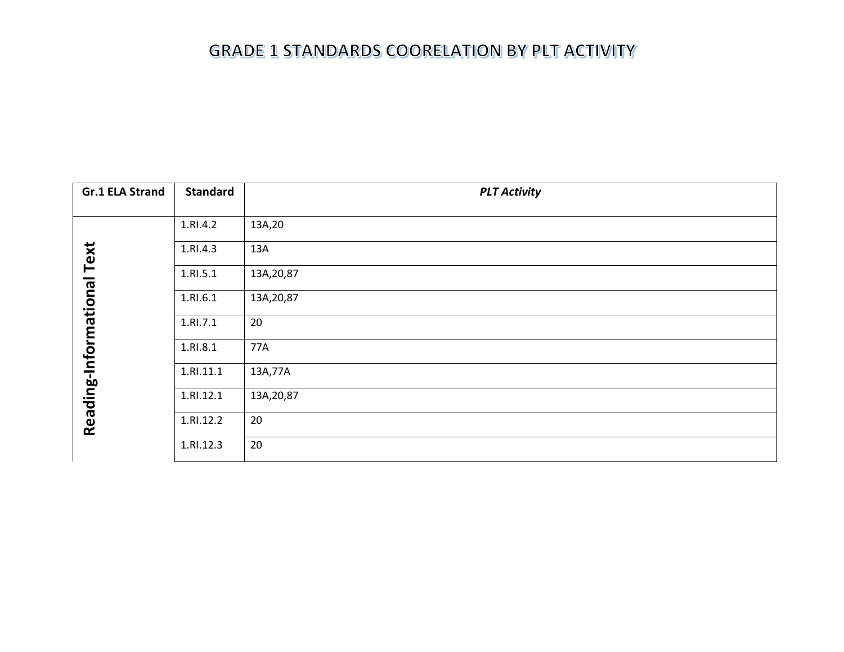| <b>Gr.1 ELA Strand</b>     | <b>Standard</b> | <b>PLT Activity</b> |
|----------------------------|-----------------|---------------------|
|                            |                 |                     |
|                            | 1.RI.4.2        | 13A,20              |
|                            | 1.RI.4.3        | 13A                 |
|                            | 1.RI.5.1        | 13A, 20, 87         |
|                            | 1.RI.6.1        | 13A, 20, 87         |
|                            | 1.RI.7.1        | 20                  |
|                            | 1.RI.8.1        | 77A                 |
| Reading-Informational Text | 1.RI.11.1       | 13A,77A             |
|                            | 1.RI.12.1       | 13A, 20, 87         |
|                            | 1.RI.12.2       | 20                  |
|                            | 1.RI.12.3       | 20                  |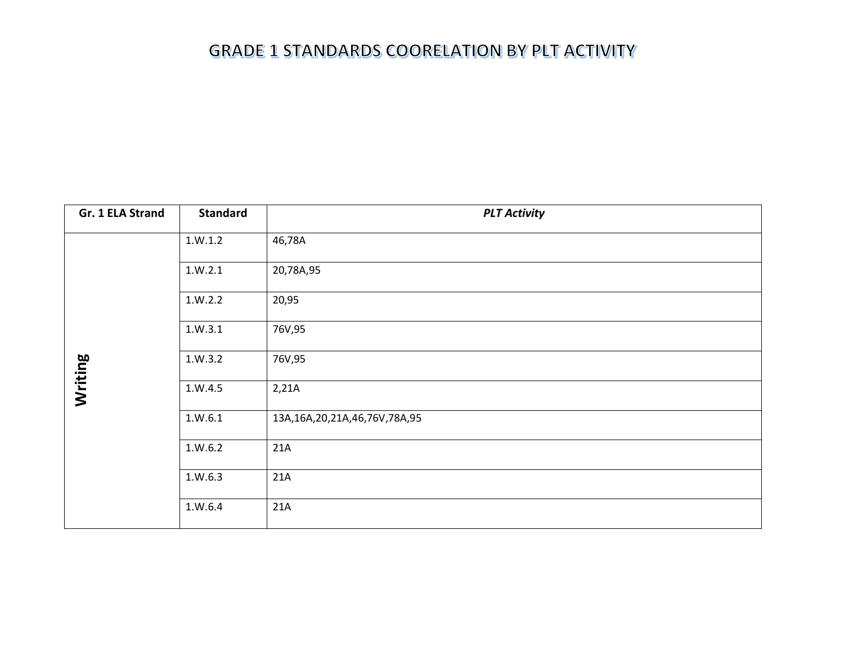| Gr. 1 ELA Strand | <b>Standard</b> | <b>PLT Activity</b>                 |
|------------------|-----------------|-------------------------------------|
|                  | 1.W.1.2         | 46,78A                              |
|                  | 1.W.2.1         | 20,78A,95                           |
|                  | 1.W.2.2         | 20,95                               |
|                  | 1.W.3.1         | 76V,95                              |
| Writing          | 1.W.3.2         | 76V,95                              |
|                  | 1.W.4.5         | 2,21A                               |
|                  | 1. W. 6.1       | 13A, 16A, 20, 21A, 46, 76V, 78A, 95 |
|                  | 1. W. 6.2       | 21A                                 |
|                  | 1.W.6.3         | 21A                                 |
|                  | 1.W.6.4         | 21A                                 |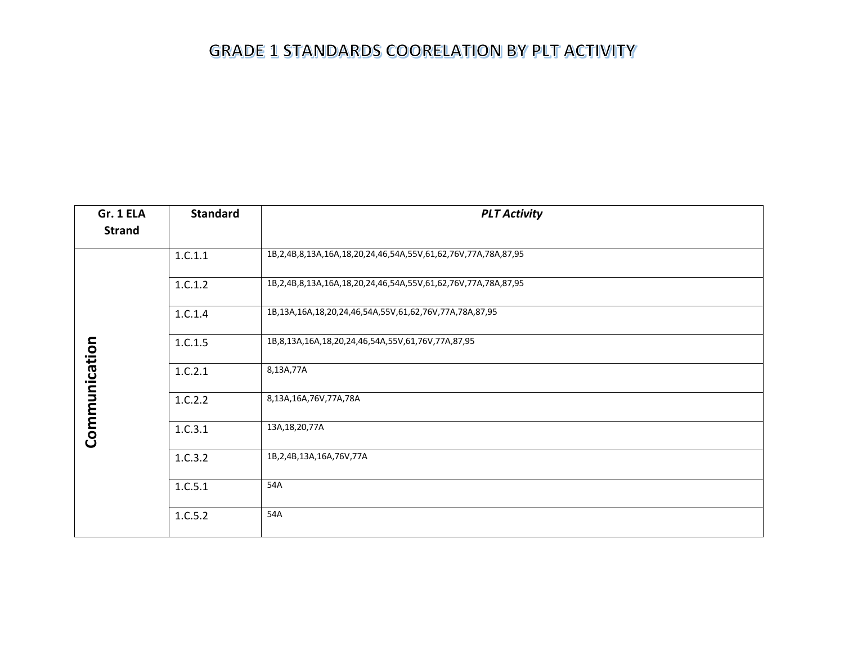| Gr. 1 ELA     | <b>Standard</b> | <b>PLT Activity</b>                                           |
|---------------|-----------------|---------------------------------------------------------------|
| <b>Strand</b> |                 |                                                               |
|               | 1.C.1.1         | 1B,2,4B,8,13A,16A,18,20,24,46,54A,55V,61,62,76V,77A,78A,87,95 |
|               | 1.C.1.2         | 1B,2,4B,8,13A,16A,18,20,24,46,54A,55V,61,62,76V,77A,78A,87,95 |
|               | 1.C.1.4         | 1B,13A,16A,18,20,24,46,54A,55V,61,62,76V,77A,78A,87,95        |
| Communication | 1.C.1.5         | 1B,8,13A,16A,18,20,24,46,54A,55V,61,76V,77A,87,95             |
|               | 1.C.2.1         | 8,13A,77A                                                     |
|               | 1.C.2.2         | 8,13A,16A,76V,77A,78A                                         |
|               | 1.C.3.1         | 13A, 18, 20, 77A                                              |
|               | 1.C.3.2         | 1B, 2, 4B, 13A, 16A, 76V, 77A                                 |
|               | 1.C.5.1         | 54A                                                           |
|               | 1.C.5.2         | 54A                                                           |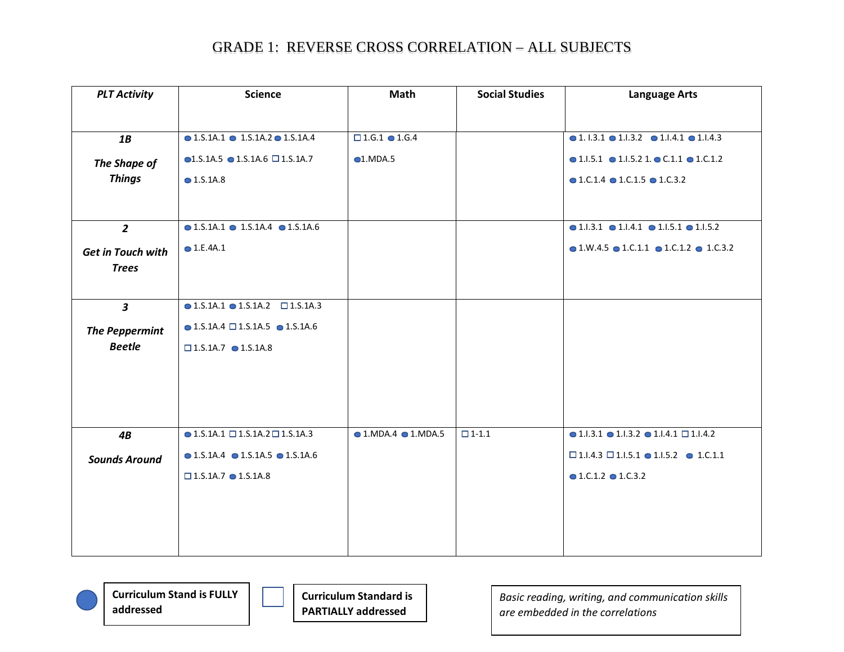| <b>PLT Activity</b>           | <b>Science</b>                                           | Math                                | <b>Social Studies</b> | <b>Language Arts</b>                                                     |
|-------------------------------|----------------------------------------------------------|-------------------------------------|-----------------------|--------------------------------------------------------------------------|
|                               |                                                          |                                     |                       |                                                                          |
| 1B                            | $\bullet$ 1.S.1A.1 $\bullet$ 1.S.1A.2 $\bullet$ 1.S.1A.4 | $\square$ 1.6.1 $\bullet$ 1.6.4     |                       | $\bullet$ 1.1.3.1 $\bullet$ 1.1.3.2 $\bullet$ 1.1.4.1 $\bullet$ 1.1.4.3  |
|                               | $\bullet$ 1.S.1A.5 $\bullet$ 1.S.1A.6 $\Box$ 1.S.1A.7    | $\bigcirc$ 1.MDA.5                  |                       | $\bullet$ 1.1.5.1 $\bullet$ 1.1.5.2 1. $\bullet$ C.1.1 $\bullet$ 1.C.1.2 |
| The Shape of<br><b>Things</b> | $\bullet$ 1.S.1A.8                                       |                                     |                       | $\bullet$ 1.C.1.4 $\bullet$ 1.C.1.5 $\bullet$ 1.C.3.2                    |
|                               |                                                          |                                     |                       |                                                                          |
|                               |                                                          |                                     |                       |                                                                          |
| $\overline{2}$                | $\bullet$ 1.S.1A.1 $\bullet$ 1.S.1A.4 $\bullet$ 1.S.1A.6 |                                     |                       | $\bullet$ 1.1.3.1 $\bullet$ 1.1.4.1 $\bullet$ 1.1.5.1 $\bullet$ 1.1.5.2  |
| <b>Get in Touch with</b>      | $\bigcirc$ 1.E.4A.1                                      |                                     |                       | $\bullet$ 1.W.4.5 $\bullet$ 1.C.1.1 $\bullet$ 1.C.1.2 $\bullet$ 1.C.3.2  |
| <b>Trees</b>                  |                                                          |                                     |                       |                                                                          |
|                               |                                                          |                                     |                       |                                                                          |
| $\mathbf{3}$                  | $\bullet$ 1.S.1A.1 $\bullet$ 1.S.1A.2 $\Box$ 1.S.1A.3    |                                     |                       |                                                                          |
| <b>The Peppermint</b>         | $\bullet$ 1.S.1A.4 $\Box$ 1.S.1A.5 $\bullet$ 1.S.1A.6    |                                     |                       |                                                                          |
| <b>Beetle</b>                 | $\square$ 1.S.1A.7 $\bullet$ 1.S.1A.8                    |                                     |                       |                                                                          |
|                               |                                                          |                                     |                       |                                                                          |
|                               |                                                          |                                     |                       |                                                                          |
|                               |                                                          |                                     |                       |                                                                          |
|                               |                                                          |                                     |                       |                                                                          |
| 4B                            | $\bullet$ 1.S.1A.1 $\square$ 1.S.1A.2 $\square$ 1.S.1A.3 | $\bullet$ 1.MDA.4 $\bullet$ 1.MDA.5 | $\Box$ 1-1.1          | $\bullet$ 1.1.3.1 $\bullet$ 1.1.3.2 $\bullet$ 1.1.4.1 $\Box$ 1.1.4.2     |
| <b>Sounds Around</b>          | $\bullet$ 1.S.1A.4 $\bullet$ 1.S.1A.5 $\bullet$ 1.S.1A.6 |                                     |                       | $\square$ 1.1.4.3 $\square$ 1.1.5.1 $\bullet$ 1.1.5.2 $\bullet$ 1.C.1.1  |
|                               | $\square$ 1.S.1A.7 $\bullet$ 1.S.1A.8                    |                                     |                       | $\bullet$ 1.C.1.2 $\bullet$ 1.C.3.2                                      |
|                               |                                                          |                                     |                       |                                                                          |
|                               |                                                          |                                     |                       |                                                                          |
|                               |                                                          |                                     |                       |                                                                          |
|                               |                                                          |                                     |                       |                                                                          |

**Curriculum Stand is FULLY addressed**

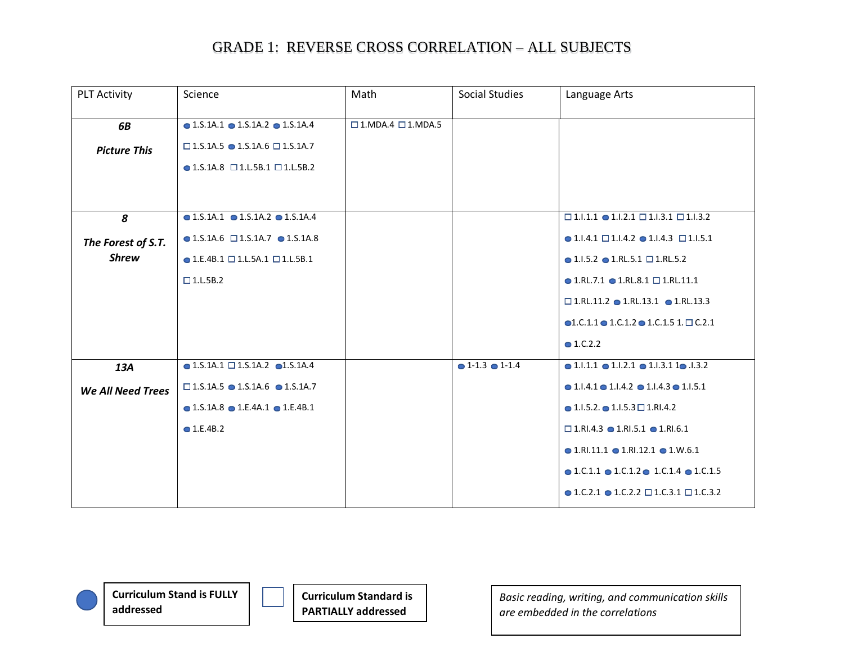| <b>PLT Activity</b>      | Science                                                  | Math                                  | <b>Social Studies</b> | Language Arts                                                            |
|--------------------------|----------------------------------------------------------|---------------------------------------|-----------------------|--------------------------------------------------------------------------|
| 6B                       | $\bullet$ 1.S.1A.1 $\bullet$ 1.S.1A.2 $\bullet$ 1.S.1A.4 | $\square$ 1. MDA.4 $\square$ 1. MDA.5 |                       |                                                                          |
| <b>Picture This</b>      | $\square$ 1.5.1A.5 $\bullet$ 1.S.1A.6 $\square$ 1.S.1A.7 |                                       |                       |                                                                          |
|                          | $\bullet$ 1.S.1A.8 $\Box$ 1.L.5B.1 $\Box$ 1.L.5B.2       |                                       |                       |                                                                          |
|                          |                                                          |                                       |                       |                                                                          |
| 8                        | $\bullet$ 1.S.1A.1 $\bullet$ 1.S.1A.2 $\bullet$ 1.S.1A.4 |                                       |                       | $\square$ 1.1.1.1 $\bullet$ 1.1.2.1 $\square$ 1.1.3.1 $\square$ 1.1.3.2  |
| The Forest of S.T.       | $\bullet$ 1.S.1A.6 $\Box$ 1.S.1A.7 $\bullet$ 1.S.1A.8    |                                       |                       | $\bullet$ 1.1.4.1 $\Box$ 1.1.4.2 $\bullet$ 1.1.4.3 $\Box$ 1.1.5.1        |
| <b>Shrew</b>             | $\bullet$ 1.E.4B.1 $\Box$ 1.L.5A.1 $\Box$ 1.L.5B.1       |                                       |                       | $\bullet$ 1.1.5.2 $\bullet$ 1.RL.5.1 $\Box$ 1.RL.5.2                     |
|                          | $\Box$ 1.L.5B.2                                          |                                       |                       | $\bullet$ 1.RL.7.1 $\bullet$ 1.RL.8.1 $\Box$ 1.RL.11.1                   |
|                          |                                                          |                                       |                       | $\square$ 1.RL.11.2 $\bullet$ 1.RL.13.1 $\bullet$ 1.RL.13.3              |
|                          |                                                          |                                       |                       | $\bullet$ 1.C.1.1 $\bullet$ 1.C.1.2 $\bullet$ 1.C.1.5 1. $\Box$ C.2.1    |
|                          |                                                          |                                       |                       | • 1.C.2.2                                                                |
| 13A                      | $\bullet$ 1.S.1A.1 $\square$ 1.S.1A.2 $\bullet$ 1.S.1A.4 |                                       | $01-1.3$ $01-1.4$     | $\bullet$ 1.1.1.1 $\bullet$ 1.1.2.1 $\bullet$ 1.1.3.1 1 $\bullet$ .1.3.2 |
| <b>We All Need Trees</b> | $\square$ 1.S.1A.5 $\bullet$ 1.S.1A.6 $\bullet$ 1.S.1A.7 |                                       |                       | $\bullet$ 1.1.4.1 $\bullet$ 1.1.4.2 $\bullet$ 1.1.4.3 $\bullet$ 1.1.5.1  |
|                          | $\bullet$ 1.S.1A.8 $\bullet$ 1.E.4A.1 $\bullet$ 1.E.4B.1 |                                       |                       | $\bullet$ 1.1.5.2. $\bullet$ 1.1.5.3 $\Box$ 1.RI.4.2                     |
|                          | $\bullet$ 1.E.4B.2                                       |                                       |                       | $\square$ 1.RI.4.3 $\bullet$ 1.RI.5.1 $\bullet$ 1.RI.6.1                 |
|                          |                                                          |                                       |                       | $\bullet$ 1.RI.11.1 $\bullet$ 1.RI.12.1 $\bullet$ 1.W.6.1                |
|                          |                                                          |                                       |                       | $\bullet$ 1.C.1.1 $\bullet$ 1.C.1.2 $\bullet$ 1.C.1.4 $\bullet$ 1.C.1.5  |
|                          |                                                          |                                       |                       | $\bullet$ 1.C.2.1 $\bullet$ 1.C.2.2 $\Box$ 1.C.3.1 $\Box$ 1.C.3.2        |

**Curriculum Stand is FULLY addressed**



**Curriculum Standard is PARTIALLY addressed**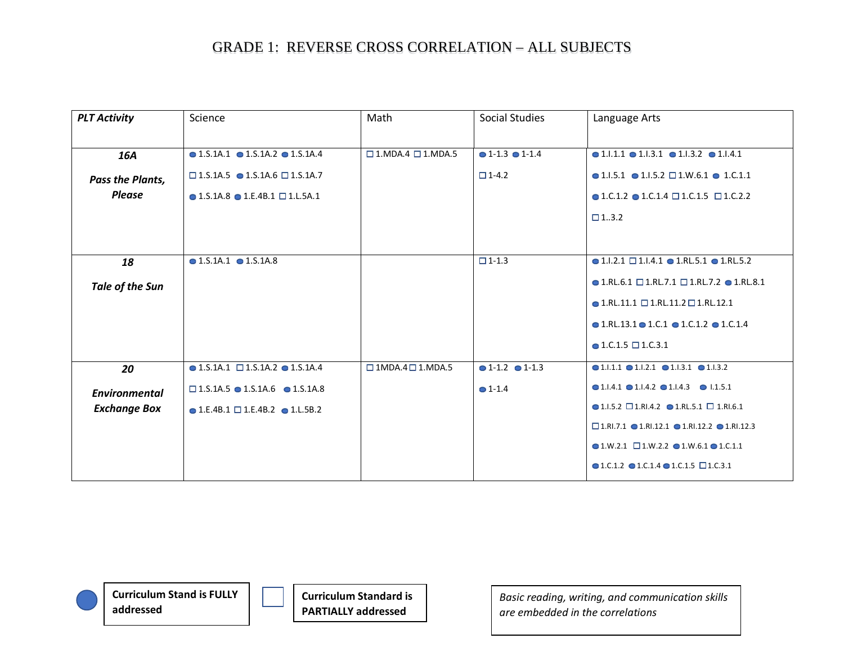| <b>PLT Activity</b>  | Science                                                  | Math                                    | <b>Social Studies</b>           | Language Arts                                                                  |
|----------------------|----------------------------------------------------------|-----------------------------------------|---------------------------------|--------------------------------------------------------------------------------|
|                      | $\bullet$ 1.S.1A.1 $\bullet$ 1.S.1A.2 $\bullet$ 1.S.1A.4 | $\square$ 1. MDA. 4 $\square$ 1. MDA. 5 | $\bullet$ 1-1.3 $\bullet$ 1-1.4 | $\bullet$ 1.1.1.1 $\bullet$ 1.1.3.1 $\bullet$ 1.1.3.2 $\bullet$ 1.1.4.1        |
| 16A                  |                                                          |                                         |                                 |                                                                                |
| Pass the Plants,     | $\square$ 1.S.1A.5 $\bullet$ 1.S.1A.6 $\square$ 1.S.1A.7 |                                         | $\Box$ 1-4.2                    | $\bullet$ 1.1.5.1 $\bullet$ 1.1.5.2 $\Box$ 1.W.6.1 $\bullet$ 1.C.1.1           |
| <b>Please</b>        | $\bullet$ 1.S.1A.8 $\bullet$ 1.E.4B.1 $\Box$ 1.L.5A.1    |                                         |                                 | $\bullet$ 1.C.1.2 $\bullet$ 1.C.1.4 $\square$ 1.C.1.5 $\square$ 1.C.2.2        |
|                      |                                                          |                                         |                                 | $\Box$ 13.2                                                                    |
|                      |                                                          |                                         |                                 |                                                                                |
| 18                   | $\bullet$ 1.5.1A.1 $\bullet$ 1.5.1A.8                    |                                         | $\Box$ 1-1.3                    | $\bullet$ 1.1.2.1 $\Box$ 1.1.4.1 $\bullet$ 1.RL.5.1 $\bullet$ 1.RL.5.2         |
| Tale of the Sun      |                                                          |                                         |                                 | $\bullet$ 1.RL.6.1 $\square$ 1.RL.7.1 $\square$ 1.RL.7.2 $\bullet$ 1.RL.8.1    |
|                      |                                                          |                                         |                                 | $\bullet$ 1.RL.11.1 $\Box$ 1.RL.11.2 $\Box$ 1.RL.12.1                          |
|                      |                                                          |                                         |                                 | $\bullet$ 1.RL.13.1 $\bullet$ 1.C.1 $\bullet$ 1.C.1.2 $\bullet$ 1.C.1.4        |
|                      |                                                          |                                         |                                 | $\bullet$ 1.C.1.5 $\Box$ 1.C.3.1                                               |
| 20                   | $\bullet$ 1.5.1A.1 $\Box$ 1.5.1A.2 $\bullet$ 1.5.1A.4    | $\Box$ 1MDA.4 $\Box$ 1.MDA.5            | $\bullet$ 1-1.2 $\bullet$ 1-1.3 | $\bullet$ 1.1.1.1 $\bullet$ 1.1.2.1 $\bullet$ 1.1.3.1 $\bullet$ 1.1.3.2        |
| <b>Environmental</b> | $\square$ 1.5.1A.5 $\bullet$ 1.S.1A.6 $\bullet$ 1.S.1A.8 |                                         | $• 1 - 1.4$                     | $\bullet$ 1.1.4.1 $\bullet$ 1.1.4.2 $\bullet$ 1.1.4.3 $\bullet$ 1.1.5.1        |
| <b>Exchange Box</b>  | $\bullet$ 1.E.4B.1 $\Box$ 1.E.4B.2 $\bullet$ 1.L.5B.2    |                                         |                                 | $\bullet$ 1.1.5.2 $\square$ 1.RI.4.2 $\bullet$ 1.RL.5.1 $\square$ 1.RI.6.1     |
|                      |                                                          |                                         |                                 | $\square$ 1.RI.7.1 $\square$ 1.RI.12.1 $\square$ 1.RI.12.2 $\square$ 1.RI.12.3 |
|                      |                                                          |                                         |                                 | $\bullet$ 1.W.2.1 $\Box$ 1.W.2.2 $\bullet$ 1.W.6.1 $\bullet$ 1.C.1.1           |
|                      |                                                          |                                         |                                 | $\bullet$ 1.C.1.2 $\bullet$ 1.C.1.4 $\bullet$ 1.C.1.5 $\Box$ 1.C.3.1           |

**Curriculum Stand is FULLY addressed**

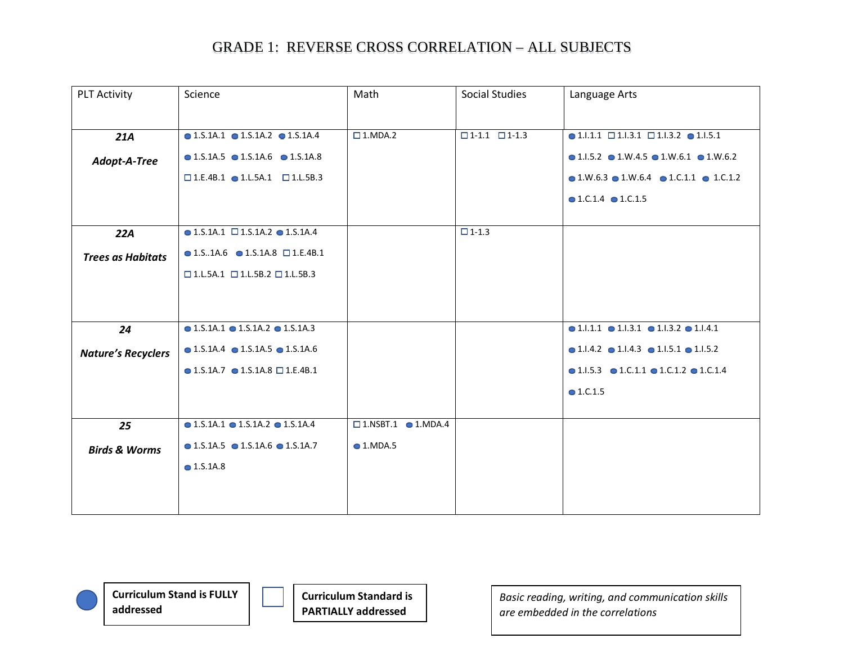| <b>PLT Activity</b>       | Science                                                  | Math                                 | <b>Social Studies</b>           | Language Arts                                                           |
|---------------------------|----------------------------------------------------------|--------------------------------------|---------------------------------|-------------------------------------------------------------------------|
|                           |                                                          |                                      |                                 |                                                                         |
| 21A                       | $\bullet$ 1.S.1A.1 $\bullet$ 1.S.1A.2 $\bullet$ 1.S.1A.4 | $\square$ 1.MDA.2                    | $\square$ 1-1.1 $\square$ 1-1.3 | $\bullet$ 1.1.1.1 $\Box$ 1.1.3.1 $\Box$ 1.1.3.2 $\bullet$ 1.1.5.1       |
| Adopt-A-Tree              | $\bullet$ 1.S.1A.5 $\bullet$ 1.S.1A.6 $\bullet$ 1.S.1A.8 |                                      |                                 | $\bullet$ 1.1.5.2 $\bullet$ 1.W.4.5 $\bullet$ 1.W.6.1 $\bullet$ 1.W.6.2 |
|                           | $\square$ 1.E.4B.1 $\bullet$ 1.L.5A.1 $\square$ 1.L.5B.3 |                                      |                                 | $\bullet$ 1.W.6.3 $\bullet$ 1.W.6.4 $\bullet$ 1.C.1.1 $\bullet$ 1.C.1.2 |
|                           |                                                          |                                      |                                 | $\bullet$ 1.C.1.4 $\bullet$ 1.C.1.5                                     |
|                           |                                                          |                                      |                                 |                                                                         |
| 22A                       | $\bullet$ 1.S.1A.1 $\Box$ 1.S.1A.2 $\bullet$ 1.S.1A.4    |                                      | $\Box$ 1-1.3                    |                                                                         |
| <b>Trees as Habitats</b>  | $\bullet$ 1.S.1A.6 $\bullet$ 1.S.1A.8 $\Box$ 1.E.4B.1    |                                      |                                 |                                                                         |
|                           | $\Box$ 1.L.5A.1 $\Box$ 1.L.5B.2 $\Box$ 1.L.5B.3          |                                      |                                 |                                                                         |
|                           |                                                          |                                      |                                 |                                                                         |
|                           |                                                          |                                      |                                 |                                                                         |
| 24                        | $\bullet$ 1.S.1A.1 $\bullet$ 1.S.1A.2 $\bullet$ 1.S.1A.3 |                                      |                                 | $\bullet$ 1.1.1.1 $\bullet$ 1.1.3.1 $\bullet$ 1.1.3.2 $\bullet$ 1.1.4.1 |
| <b>Nature's Recyclers</b> | $\bullet$ 1.S.1A.4 $\bullet$ 1.S.1A.5 $\bullet$ 1.S.1A.6 |                                      |                                 | $\bullet$ 1.1.4.2 $\bullet$ 1.1.4.3 $\bullet$ 1.1.5.1 $\bullet$ 1.1.5.2 |
|                           | $\bullet$ 1.S.1A.7 $\bullet$ 1.S.1A.8 $\Box$ 1.E.4B.1    |                                      |                                 | $\bullet$ 1.1.5.3 $\bullet$ 1.C.1.1 $\bullet$ 1.C.1.2 $\bullet$ 1.C.1.4 |
|                           |                                                          |                                      |                                 | $\bullet$ 1.C.1.5                                                       |
|                           |                                                          |                                      |                                 |                                                                         |
| 25                        | $\bullet$ 1.S.1A.1 $\bullet$ 1.S.1A.2 $\bullet$ 1.S.1A.4 | $\square$ 1.NSBT.1 $\square$ 1.MDA.4 |                                 |                                                                         |
| <b>Birds &amp; Worms</b>  | $\bullet$ 1.S.1A.5 $\bullet$ 1.S.1A.6 $\bullet$ 1.S.1A.7 | $\bigcirc$ 1.MDA.5                   |                                 |                                                                         |
|                           | $\bullet$ 1.S.1A.8                                       |                                      |                                 |                                                                         |
|                           |                                                          |                                      |                                 |                                                                         |
|                           |                                                          |                                      |                                 |                                                                         |

**Curriculum Stand is FULLY addressed**



**Curriculum Standard is PARTIALLY addressed**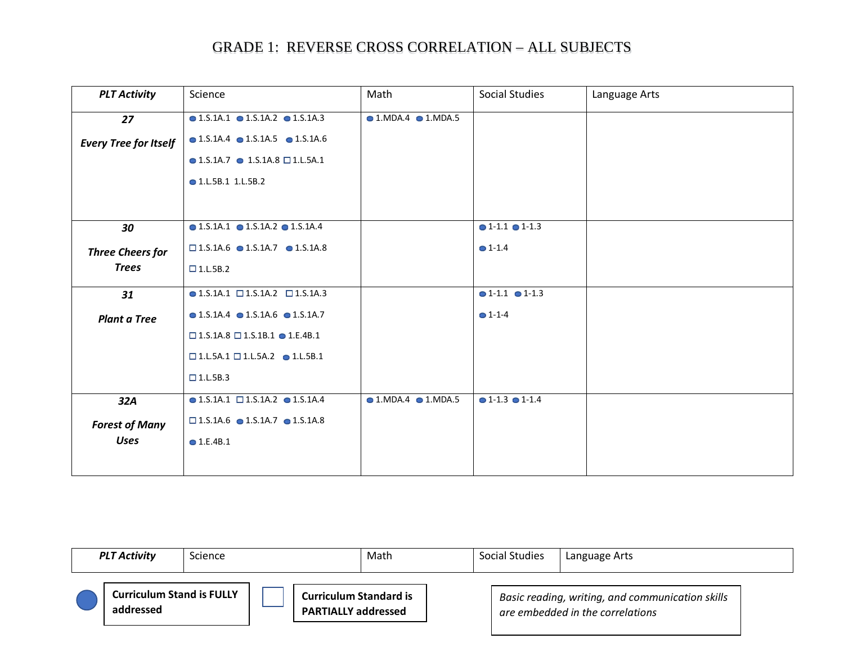| <b>PLT Activity</b>          | Science                                                  | Math                                | <b>Social Studies</b>           | Language Arts |
|------------------------------|----------------------------------------------------------|-------------------------------------|---------------------------------|---------------|
| 27                           | $\bullet$ 1.S.1A.1 $\bullet$ 1.S.1A.2 $\bullet$ 1.S.1A.3 | $\bullet$ 1.MDA.4 $\bullet$ 1.MDA.5 |                                 |               |
| <b>Every Tree for Itself</b> | $\bullet$ 1.S.1A.4 $\bullet$ 1.S.1A.5 $\bullet$ 1.S.1A.6 |                                     |                                 |               |
|                              | $\bullet$ 1.S.1A.7 $\bullet$ 1.S.1A.8 $\Box$ 1.L.5A.1    |                                     |                                 |               |
|                              | • 1.L.5B.1 1.L.5B.2                                      |                                     |                                 |               |
|                              |                                                          |                                     |                                 |               |
| 30                           | $\bullet$ 1.S.1A.1 $\bullet$ 1.S.1A.2 $\bullet$ 1.S.1A.4 |                                     | $\bullet$ 1-1.1 $\bullet$ 1-1.3 |               |
| <b>Three Cheers for</b>      | $\square$ 1.5.1A.6 $\bullet$ 1.5.1A.7 $\bullet$ 1.5.1A.8 |                                     | $^{\circ}1-1.4$                 |               |
| <b>Trees</b>                 | $\square$ 1.L.5B.2                                       |                                     |                                 |               |
| 31                           | $\bullet$ 1.S.1A.1 $\Box$ 1.S.1A.2 $\Box$ 1.S.1A.3       |                                     | $01-1.1$ $01-1.3$               |               |
| <b>Plant a Tree</b>          | $\bullet$ 1.S.1A.4 $\bullet$ 1.S.1A.6 $\bullet$ 1.S.1A.7 |                                     | $O 1 - 1 - 4$                   |               |
|                              | $\square$ 1.5.1A.8 $\square$ 1.5.1B.1 $\bullet$ 1.E.4B.1 |                                     |                                 |               |
|                              | $\square$ 1.L.5A.1 $\square$ 1.L.5A.2 $\bullet$ 1.L.5B.1 |                                     |                                 |               |
|                              | $\Box$ 1.L.5B.3                                          |                                     |                                 |               |
| 32A                          | $\bullet$ 1.S.1A.1 $\Box$ 1.S.1A.2 $\bullet$ 1.S.1A.4    | $\bullet$ 1.MDA.4 $\bullet$ 1.MDA.5 | $\bullet$ 1-1.3 $\bullet$ 1-1.4 |               |
| <b>Forest of Many</b>        | $\square$ 1.S.1A.6 $\bullet$ 1.S.1A.7 $\bullet$ 1.S.1A.8 |                                     |                                 |               |
| <b>Uses</b>                  | $\bullet$ 1.E.4B.1                                       |                                     |                                 |               |
|                              |                                                          |                                     |                                 |               |

| <b>PLT Activity</b>                           | <b>Science</b> | Math                                                        | <b>Social Studies</b> | Language Arts                                                                        |  |
|-----------------------------------------------|----------------|-------------------------------------------------------------|-----------------------|--------------------------------------------------------------------------------------|--|
| <b>Curriculum Stand is FULLY</b><br>addressed |                | <b>Curriculum Standard is</b><br><b>PARTIALLY addressed</b> |                       | Basic reading, writing, and communication skills<br>are embedded in the correlations |  |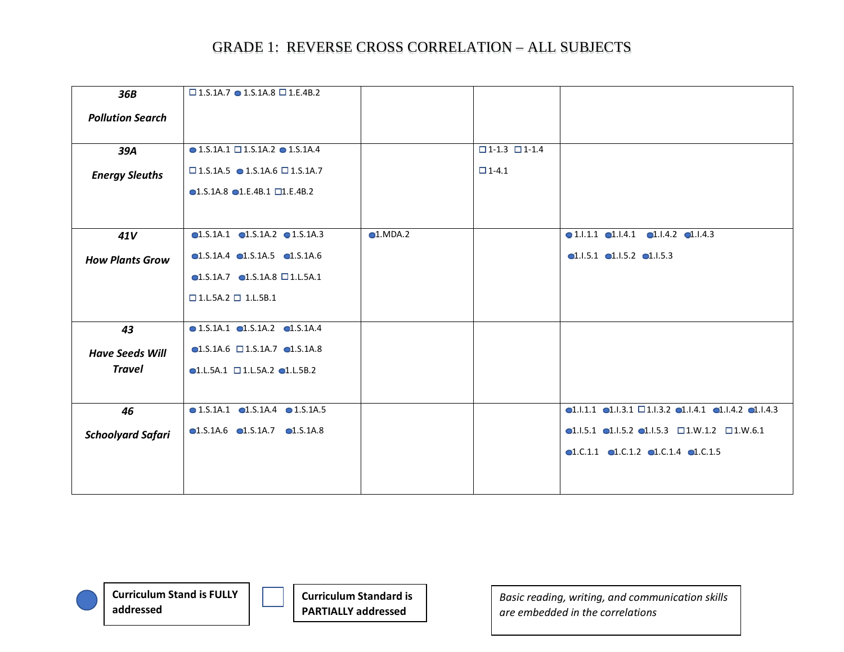| 36B                      | $\Box$ 1.5.1A.7 $\bullet$ 1.5.1A.8 $\Box$ 1.E.4B.2       |           |                                 |                                                                                                          |
|--------------------------|----------------------------------------------------------|-----------|---------------------------------|----------------------------------------------------------------------------------------------------------|
| <b>Pollution Search</b>  |                                                          |           |                                 |                                                                                                          |
|                          |                                                          |           |                                 |                                                                                                          |
| 39A                      | $\bullet$ 1.S.1A.1 $\square$ 1.S.1A.2 $\bullet$ 1.S.1A.4 |           | $\square$ 1-1.3 $\square$ 1-1.4 |                                                                                                          |
| <b>Energy Sleuths</b>    | $\square$ 1.S.1A.5 $\bullet$ 1.S.1A.6 $\square$ 1.S.1A.7 |           | $\Box$ 1-4.1                    |                                                                                                          |
|                          | $\bullet$ 1.S.1A.8 $\bullet$ 1.E.4B.1 $\Box$ 1.E.4B.2    |           |                                 |                                                                                                          |
|                          |                                                          |           |                                 |                                                                                                          |
| 41V                      | $\bullet$ 1.S.1A.1 $\bullet$ 1.S.1A.2 $\bullet$ 1.S.1A.3 | $1.MDA.2$ |                                 | $\bullet$ 1.1.1.1 $\bullet$ 1.1.4.1 $\bullet$ 1.1.4.2 $\bullet$ 1.1.4.3                                  |
| <b>How Plants Grow</b>   | $\bullet$ 1.S.1A.4 $\bullet$ 1.S.1A.5 $\bullet$ 1.S.1A.6 |           |                                 | $\bullet$ 1.1.5.1 $\bullet$ 1.1.5.2 $\bullet$ 1.1.5.3                                                    |
|                          | $\bullet$ 1.S.1A.7 $\bullet$ 1.S.1A.8 $\Box$ 1.L.5A.1    |           |                                 |                                                                                                          |
|                          | $\square$ 1.L.5A.2 $\square$ 1.L.5B.1                    |           |                                 |                                                                                                          |
|                          |                                                          |           |                                 |                                                                                                          |
| 43                       | $\bullet$ 1.S.1A.1 $\bullet$ 1.S.1A.2 $\bullet$ 1.S.1A.4 |           |                                 |                                                                                                          |
| <b>Have Seeds Will</b>   | $\bullet$ 1.S.1A.6 $\Box$ 1.S.1A.7 $\bullet$ 1.S.1A.8    |           |                                 |                                                                                                          |
| <b>Travel</b>            | $\bullet$ 1.L.5A.1 $\Box$ 1.L.5A.2 $\bullet$ 1.L.5B.2    |           |                                 |                                                                                                          |
|                          |                                                          |           |                                 |                                                                                                          |
| 46                       | $\bullet$ 1.S.1A.1 $\bullet$ 1.S.1A.4 $\bullet$ 1.S.1A.5 |           |                                 | $\bullet$ 1.1.1.1 $\bullet$ 1.1.3.1 $\Box$ 1.1.3.2 $\bullet$ 1.1.4.1 $\bullet$ 1.1.4.2 $\bullet$ 1.1.4.3 |
| <b>Schoolyard Safari</b> | $\bullet$ 1.S.1A.6 $\bullet$ 1.S.1A.7 $\bullet$ 1.S.1A.8 |           |                                 | $\bullet$ 1.1.5.1 $\bullet$ 1.1.5.2 $\bullet$ 1.1.5.3 $\Box$ 1.W.1.2 $\Box$ 1.W.6.1                      |
|                          |                                                          |           |                                 | $\bullet$ 1.C.1.1 $\bullet$ 1.C.1.2 $\bullet$ 1.C.1.4 $\bullet$ 1.C.1.5                                  |
|                          |                                                          |           |                                 |                                                                                                          |
|                          |                                                          |           |                                 |                                                                                                          |

**Curriculum Stand is FULLY addressed**



**Curriculum Standard is PARTIALLY addressed**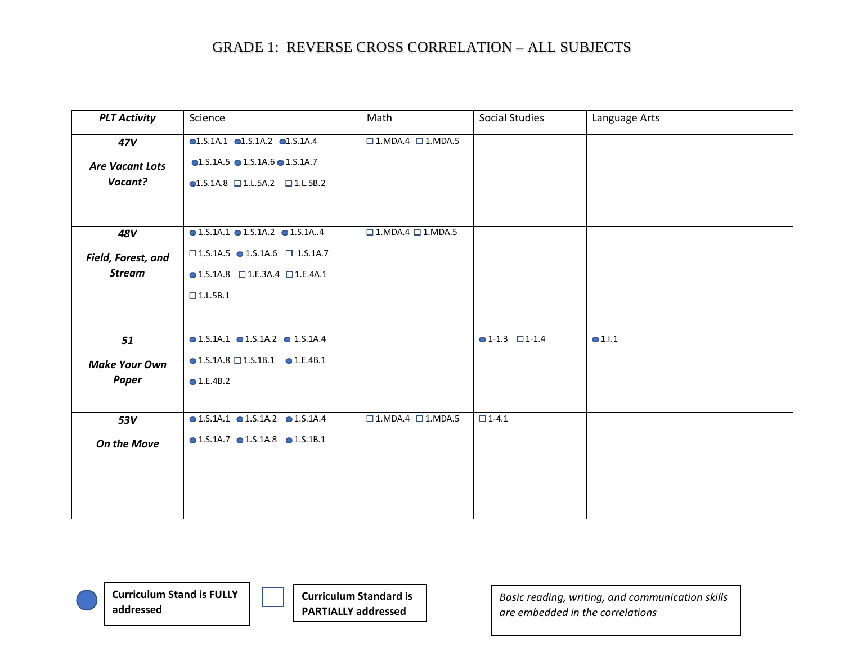| <b>PLT Activity</b>    | Science                                                       | Math                                  | Social Studies               | Language Arts   |
|------------------------|---------------------------------------------------------------|---------------------------------------|------------------------------|-----------------|
| 47V                    | $\bullet$ 1.S.1A.1 $\bullet$ 1.S.1A.2 $\bullet$ 1.S.1A.4      | $\square$ 1. MDA.4 $\square$ 1. MDA.5 |                              |                 |
| <b>Are Vacant Lots</b> | $\bullet$ 1.S.1A.5 $\bullet$ 1.S.1A.6 $\bullet$ 1.S.1A.7      |                                       |                              |                 |
| Vacant?                | $\blacksquare$ 1.S.1A.8 $\square$ 1.L.5A.2 $\square$ 1.L.5B.2 |                                       |                              |                 |
|                        |                                                               |                                       |                              |                 |
| 48V                    | $\bullet$ 1.S.1A.1 $\bullet$ 1.S.1A.2 $\bullet$ 1.S.1A4       | $\square$ 1. MDA.4 $\square$ 1. MDA.5 |                              |                 |
|                        |                                                               |                                       |                              |                 |
| Field, Forest, and     | $\square$ 1.S.1A.5 $\bullet$ 1.S.1A.6 $\square$ 1.S.1A.7      |                                       |                              |                 |
| <b>Stream</b>          | $\bullet$ 1.S.1A.8 $\Box$ 1.E.3A.4 $\Box$ 1.E.4A.1            |                                       |                              |                 |
|                        | $\square$ 1.L.5B.1                                            |                                       |                              |                 |
|                        |                                                               |                                       |                              |                 |
| 51                     | $\bullet$ 1.S.1A.1 $\bullet$ 1.S.1A.2 $\bullet$ 1.S.1A.4      |                                       | $\bullet$ 1-1.3 $\Box$ 1-1.4 | $\bullet$ 1.I.1 |
|                        |                                                               |                                       |                              |                 |
| <b>Make Your Own</b>   | $\bullet$ 1.S.1A.8 $\Box$ 1.S.1B.1 $\bullet$ 1.E.4B.1         |                                       |                              |                 |
| Paper                  | $\bullet$ 1.E.4B.2                                            |                                       |                              |                 |
|                        |                                                               |                                       |                              |                 |
| <b>53V</b>             | $\bullet$ 1.S.1A.1 $\bullet$ 1.S.1A.2 $\bullet$ 1.S.1A.4      | $\square$ 1. MDA.4 $\square$ 1. MDA.5 | $\Box$ 1-4.1                 |                 |
| <b>On the Move</b>     | $\bullet$ 1.S.1A.7 $\bullet$ 1.S.1A.8 $\bullet$ 1.S.1B.1      |                                       |                              |                 |
|                        |                                                               |                                       |                              |                 |
|                        |                                                               |                                       |                              |                 |
|                        |                                                               |                                       |                              |                 |
|                        |                                                               |                                       |                              |                 |

**Curriculum Stand is FULLY addressed**

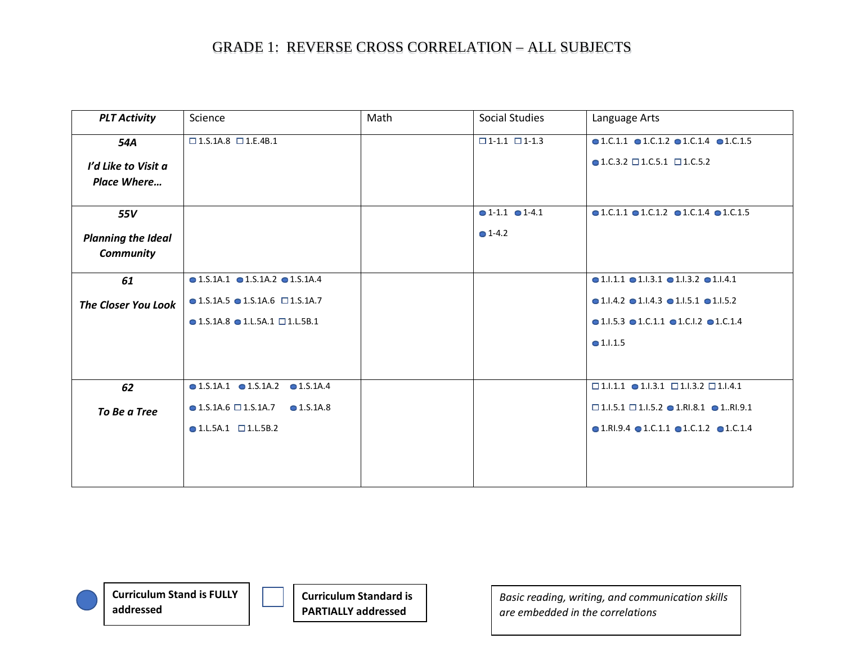| Science                                                  | Math | Social Studies                  | Language Arts                                                            |
|----------------------------------------------------------|------|---------------------------------|--------------------------------------------------------------------------|
| $\square$ 1.S.1A.8 $\square$ 1.E.4B.1                    |      | $\square$ 1-1.1 $\square$ 1-1.3 | $\bullet$ 1.C.1.1 $\bullet$ 1.C.1.2 $\bullet$ 1.C.1.4 $\bullet$ 1.C.1.5  |
|                                                          |      |                                 | $\bullet$ 1.C.3.2 $\Box$ 1.C.5.1 $\Box$ 1.C.5.2                          |
|                                                          |      |                                 |                                                                          |
|                                                          |      |                                 |                                                                          |
|                                                          |      |                                 | $\bullet$ 1.C.1.1 $\bullet$ 1.C.1.2 $\bullet$ 1.C.1.4 $\bullet$ 1.C.1.5  |
|                                                          |      | $\bullet$ 1-4.2                 |                                                                          |
|                                                          |      |                                 |                                                                          |
| $\bullet$ 1.S.1A.1 $\bullet$ 1.S.1A.2 $\bullet$ 1.S.1A.4 |      |                                 | $\bullet$ 1.1.1.1 $\bullet$ 1.1.3.1 $\bullet$ 1.1.3.2 $\bullet$ 1.1.4.1  |
| $\bullet$ 1.S.1A.5 $\bullet$ 1.S.1A.6 $\Box$ 1.S.1A.7    |      |                                 | $\bullet$ 1.1.4.2 $\bullet$ 1.1.4.3 $\bullet$ 1.1.5.1 $\bullet$ 1.1.5.2  |
| $\bullet$ 1.5.1A.8 $\bullet$ 1.L.5A.1 $\Box$ 1.L.5B.1    |      |                                 | $\bullet$ 1.1.5.3 $\bullet$ 1.C.1.1 $\bullet$ 1.C.1.2 $\bullet$ 1.C.1.4  |
|                                                          |      |                                 | •1.1.1.5                                                                 |
|                                                          |      |                                 |                                                                          |
| $\bullet$ 1.S.1A.1 $\bullet$ 1.S.1A.2 $\bullet$ 1.S.1A.4 |      |                                 | $\square$ 1.1.1.1 $\bullet$ 1.1.3.1 $\square$ 1.1.3.2 $\square$ 1.1.4.1  |
| $\bullet$ 1.S.1A.6 $\Box$ 1.S.1A.7<br>$\bullet$ 1.S.1A.8 |      |                                 | $\square$ 1.1.5.1 $\square$ 1.1.5.2 $\bullet$ 1.RI.8.1 $\bullet$ 1RI.9.1 |
| $\bullet$ 1.L.5A.1 $\Box$ 1.L.5B.2                       |      |                                 | $\bullet$ 1.RI.9.4 $\bullet$ 1.C.1.1 $\bullet$ 1.C.1.2 $\bullet$ 1.C.1.4 |
|                                                          |      |                                 |                                                                          |
|                                                          |      |                                 |                                                                          |
|                                                          |      |                                 | $\bullet$ 1-1.1 $\bullet$ 1-4.1                                          |

**Curriculum Stand is FULLY addressed**



**Curriculum Standard is PARTIALLY addressed**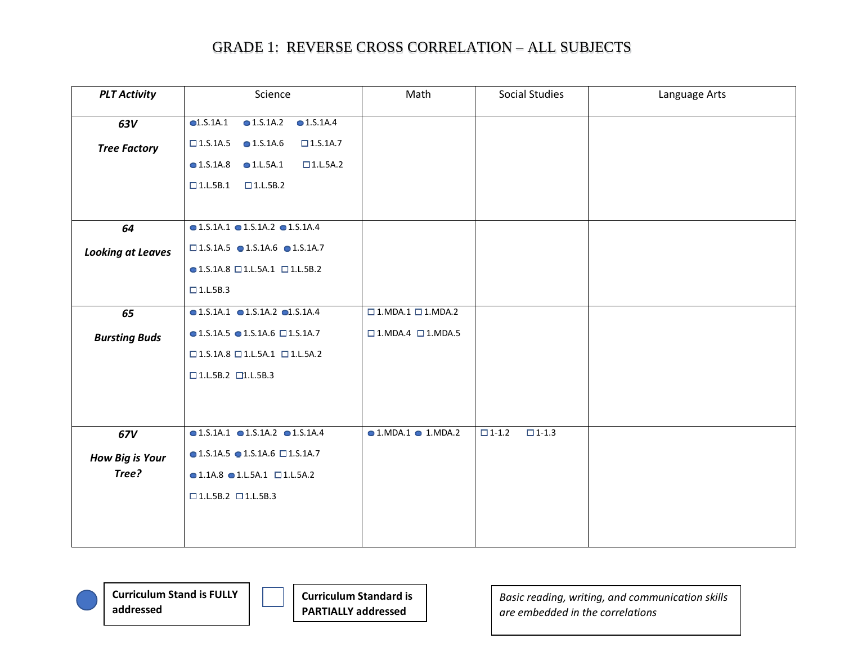| <b>PLT Activity</b>      | Science                                                     | Math                                | Social Studies               | Language Arts |
|--------------------------|-------------------------------------------------------------|-------------------------------------|------------------------------|---------------|
| 63V                      | Q1.S.1A.1<br>$\bullet$ 1.S.1A.2<br>$\bigcirc$ 1.S.1A.4      |                                     |                              |               |
|                          |                                                             |                                     |                              |               |
| <b>Tree Factory</b>      | $\Box$ 1.S.1A.5<br>$\bullet$ 1.S.1A.6<br>$\square$ 1.S.1A.7 |                                     |                              |               |
|                          | $\bullet$ 1.S.1A.8 $\bullet$ 1.L.5A.1<br>$\square$ 1.L.5A.2 |                                     |                              |               |
|                          | $\square$ 1.L.5B.1<br>$\square$ 1.L.5B.2                    |                                     |                              |               |
|                          |                                                             |                                     |                              |               |
|                          | $\bullet$ 1.5.1A.1 $\bullet$ 1.5.1A.2 $\bullet$ 1.5.1A.4    |                                     |                              |               |
| 64                       |                                                             |                                     |                              |               |
| <b>Looking at Leaves</b> | $\square$ 1.S.1A.5 $\bullet$ 1.S.1A.6 $\bullet$ 1.S.1A.7    |                                     |                              |               |
|                          | $\bullet$ 1.S.1A.8 $\Box$ 1.L.5A.1 $\Box$ 1.L.5B.2          |                                     |                              |               |
|                          | $\square$ 1.L.5B.3                                          |                                     |                              |               |
|                          |                                                             |                                     |                              |               |
| 65                       | $\bullet$ 1.S.1A.1 $\bullet$ 1.S.1A.2 $\bullet$ 1.S.1A.4    | $\square$ 1.MDA.1 $\square$ 1.MDA.2 |                              |               |
| <b>Bursting Buds</b>     | $\bullet$ 1.S.1A.5 $\bullet$ 1.S.1A.6 $\Box$ 1.S.1A.7       | $\square$ 1.MDA.4 $\square$ 1.MDA.5 |                              |               |
|                          | $\square$ 1.S.1A.8 $\square$ 1.L.5A.1 $\square$ 1.L.5A.2    |                                     |                              |               |
|                          | $\square$ 1.L.5B.2 $\square$ 1.L.5B.3                       |                                     |                              |               |
|                          |                                                             |                                     |                              |               |
|                          |                                                             |                                     |                              |               |
|                          |                                                             |                                     |                              |               |
| 67V                      | $\bullet$ 1.S.1A.1 $\bullet$ 1.S.1A.2 $\bullet$ 1.S.1A.4    | $\bullet$ 1.MDA.1 $\bullet$ 1.MDA.2 | $\Box$ 1-1.2<br>$\Box$ 1-1.3 |               |
| <b>How Big is Your</b>   | $\bullet$ 1.S.1A.5 $\bullet$ 1.S.1A.6 $\Box$ 1.S.1A.7       |                                     |                              |               |
| Tree?                    | $\bullet$ 1.1A.8 $\bullet$ 1.L.5A.1 $\Box$ 1.L.5A.2         |                                     |                              |               |
|                          | $\square$ 1.L.5B.2 $\square$ 1.L.5B.3                       |                                     |                              |               |
|                          |                                                             |                                     |                              |               |
|                          |                                                             |                                     |                              |               |
|                          |                                                             |                                     |                              |               |

**Curriculum Stand is FULLY addressed**



**Curriculum Standard is PARTIALLY addressed**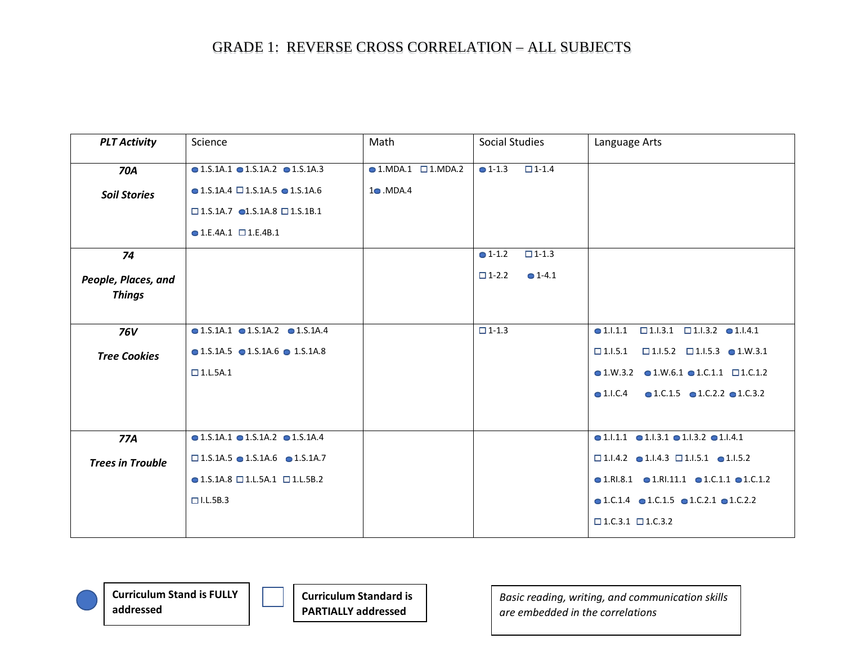| <b>PLT Activity</b>     | Science                                                  | Math                             | <b>Social Studies</b>           | Language Arts                                                              |
|-------------------------|----------------------------------------------------------|----------------------------------|---------------------------------|----------------------------------------------------------------------------|
| <b>70A</b>              | $\bullet$ 1.5.1A.1 $\bullet$ 1.5.1A.2 $\bullet$ 1.5.1A.3 | $\bullet$ 1.MDA.1 $\Box$ 1.MDA.2 | $\bullet$ 1-1.3<br>$\Box$ 1-1.4 |                                                                            |
| <b>Soil Stories</b>     | $\bullet$ 1.S.1A.4 $\square$ 1.S.1A.5 $\bullet$ 1.S.1A.6 | $1 \bullet$ .MDA.4               |                                 |                                                                            |
|                         | $\square$ 1.5.1A.7 $\bullet$ 1.5.1A.8 $\square$ 1.5.1B.1 |                                  |                                 |                                                                            |
|                         | $\bullet$ 1.E.4A.1 $\Box$ 1.E.4B.1                       |                                  |                                 |                                                                            |
| 74                      |                                                          |                                  | $• 1 - 1.2$<br>$\square$ 1-1.3  |                                                                            |
| People, Places, and     |                                                          |                                  | $\Box$ 1-2.2<br>$• 1 - 4.1$     |                                                                            |
| <b>Things</b>           |                                                          |                                  |                                 |                                                                            |
|                         |                                                          |                                  |                                 |                                                                            |
| <b>76V</b>              | $\bullet$ 1.S.1A.1 $\bullet$ 1.S.1A.2 $\bullet$ 1.S.1A.4 |                                  | $\square$ 1-1.3                 | $\square$ 1.1.3.1 $\square$ 1.1.3.2 $\square$ 1.1.4.1<br>• 1.1.1.1         |
| <b>Tree Cookies</b>     | $\bullet$ 1.S.1A.5 $\bullet$ 1.S.1A.6 $\bullet$ 1.S.1A.8 |                                  |                                 | $\Box$ 1.1.5.2 $\Box$ 1.1.5.3 $\bigcirc$ 1.W.3.1<br>$\Box$ 1.1.5.1         |
|                         | $\square$ 1.L.5A.1                                       |                                  |                                 | $\bullet$ 1.W.3.2 $\bullet$ 1.W.6.1 $\bullet$ 1.C.1.1 $\Box$ 1.C.1.2       |
|                         |                                                          |                                  |                                 | $\bullet$ 1.C.1.5 $\bullet$ 1.C.2.2 $\bullet$ 1.C.3.2<br>$\bullet$ 1.I.C.4 |
|                         |                                                          |                                  |                                 |                                                                            |
| 77A                     | $\bullet$ 1.S.1A.1 $\bullet$ 1.S.1A.2 $\bullet$ 1.S.1A.4 |                                  |                                 | $\bullet$ 1.1.1.1 $\bullet$ 1.1.3.1 $\bullet$ 1.1.3.2 $\bullet$ 1.1.4.1    |
| <b>Trees in Trouble</b> | $\square$ 1.S.1A.5 $\bullet$ 1.S.1A.6 $\bullet$ 1.S.1A.7 |                                  |                                 | $\square$ 1.1.4.2 $\bullet$ 1.1.4.3 $\square$ 1.1.5.1 $\bullet$ 1.1.5.2    |
|                         | $\bullet$ 1.S.1A.8 $\Box$ 1.L.5A.1 $\Box$ 1.L.5B.2       |                                  |                                 | $\bullet$ 1.RI.8.1 $\bullet$ 1.RI.11.1 $\bullet$ 1.C.1.1 $\bullet$ 1.C.1.2 |
|                         | $\Box$ I.L.5B.3                                          |                                  |                                 | $\bullet$ 1.C.1.4 $\bullet$ 1.C.1.5 $\bullet$ 1.C.2.1 $\bullet$ 1.C.2.2    |
|                         |                                                          |                                  |                                 | $\Box$ 1.C.3.1 $\Box$ 1.C.3.2                                              |

**Curriculum Stand is FULLY addressed**



**Curriculum Standard is PARTIALLY addressed**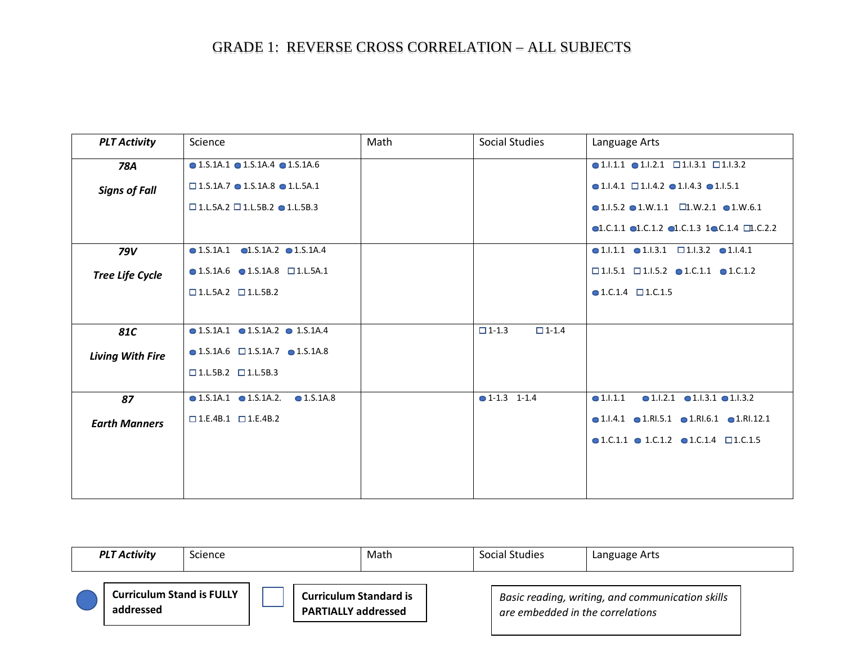| <b>PLT Activity</b>     | Science                                                      | Math | Social Studies                  | Language Arts                                                                          |
|-------------------------|--------------------------------------------------------------|------|---------------------------------|----------------------------------------------------------------------------------------|
| 78A                     | $\bullet$ 1.S.1A.1 $\bullet$ 1.S.1A.4 $\bullet$ 1.S.1A.6     |      |                                 | $\bullet$ 1.1.1.1 $\bullet$ 1.1.2.1 $\Box$ 1.1.3.1 $\Box$ 1.1.3.2                      |
| <b>Signs of Fall</b>    | $\square$ 1.S.1A.7 $\bullet$ 1.S.1A.8 $\bullet$ 1.L.5A.1     |      |                                 | $\bullet$ 1.1.4.1 $\Box$ 1.1.4.2 $\bullet$ 1.1.4.3 $\bullet$ 1.1.5.1                   |
|                         | $\square$ 1.L.5A.2 $\square$ 1.L.5B.2 $\bullet$ 1.L.5B.3     |      |                                 | $\bullet$ 1.1.5.2 $\bullet$ 1.W.1.1 $\Box$ 1.W.2.1 $\bullet$ 1.W.6.1                   |
|                         |                                                              |      |                                 | $\bullet$ 1.C.1.1 $\bullet$ 1.C.1.2 $\bullet$ 1.C.1.3 1 $\bullet$ C.1.4 $\Box$ 1.C.2.2 |
| <b>79V</b>              | $\bullet$ 1.S.1A.1 $\bullet$ 1.S.1A.2 $\bullet$ 1.S.1A.4     |      |                                 | $\bullet$ 1.1.1.1 $\bullet$ 1.1.3.1 $\Box$ 1.1.3.2 $\bullet$ 1.1.4.1                   |
| <b>Tree Life Cycle</b>  | $\bullet$ 1.S.1A.6 $\bullet$ 1.S.1A.8 $\Box$ 1.L.5A.1        |      |                                 | $\square$ 1.1.5.1 $\square$ 1.1.5.2 $\bullet$ 1.C.1.1 $\bullet$ 1.C.1.2                |
|                         | $\square$ 1.L.5A.2 $\square$ 1.L.5B.2                        |      |                                 | $\bullet$ 1.C.1.4 $\Box$ 1.C.1.5                                                       |
|                         |                                                              |      |                                 |                                                                                        |
| <b>81C</b>              | $\bullet$ 1.S.1A.1 $\bullet$ 1.S.1A.2 $\bullet$ 1.S.1A.4     |      | $\square$ 1-1.4<br>$\Box$ 1-1.3 |                                                                                        |
| <b>Living With Fire</b> | $\bullet$ 1.S.1A.6 $\Box$ 1.S.1A.7 $\bullet$ 1.S.1A.8        |      |                                 |                                                                                        |
|                         | $\square$ 1.L.5B.2 $\square$ 1.L.5B.3                        |      |                                 |                                                                                        |
| 87                      | $\bullet$ 1.S.1A.1 $\bullet$ 1.S.1A.2.<br>$\bullet$ 1.S.1A.8 |      | $\bullet$ 1-1.3 1-1.4           | $\bullet$ 1.1.2.1 $\bullet$ 1.1.3.1 $\bullet$ 1.1.3.2<br>•1.1.1.1                      |
| <b>Earth Manners</b>    | $\square$ 1.E.4B.1 $\square$ 1.E.4B.2                        |      |                                 | $\bullet$ 1.1.4.1 $\bullet$ 1.RI.5.1 $\bullet$ 1.RI.6.1 $\bullet$ 1.RI.12.1            |
|                         |                                                              |      |                                 | $\bullet$ 1.C.1.1 $\bullet$ 1.C.1.2 $\bullet$ 1.C.1.4 $\Box$ 1.C.1.5                   |
|                         |                                                              |      |                                 |                                                                                        |
|                         |                                                              |      |                                 |                                                                                        |

| <b>PLT Activity</b>                           | <b>Science</b> |                                                             | Math | Social Studies                   | Language Arts                                    |  |
|-----------------------------------------------|----------------|-------------------------------------------------------------|------|----------------------------------|--------------------------------------------------|--|
| <b>Curriculum Stand is FULLY</b><br>addressed |                | <b>Curriculum Standard is</b><br><b>PARTIALLY addressed</b> |      | are embedded in the correlations | Basic reading, writing, and communication skills |  |